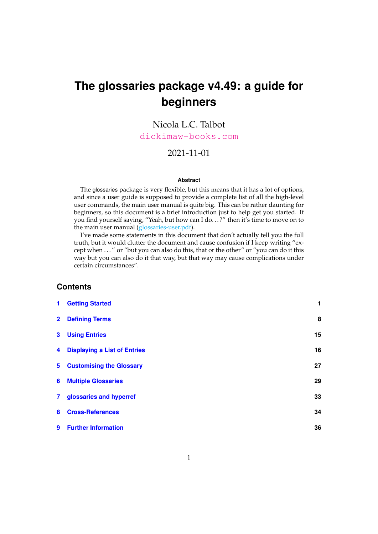# <span id="page-0-0"></span>**The glossaries package v4.49: a guide for beginners**

# Nicola L.C. Talbot [dickimaw-books.com](https://www.dickimaw-books.com/)

## 2021-11-01

#### **Abstract**

The glossaries package is very flexible, but this means that it has a lot of options, and since a user guide is supposed to provide a complete list of all the high-level user commands, the main user manual is quite big. This can be rather daunting for beginners, so this document is a brief introduction just to help get you started. If you find yourself saying, "Yeah, but how can I do...?" then it's time to move on to the main user manual (glossaries-user.pdf).

I've made some statements in this document that don't actually tell you the full truth, but it would clutter the document and cause confusion if I keep writing "except when . . . " or "but you can also do this, that or the other" or "you can do it this way but you can also do it that way, but that way may cause complications under certain circumstances".

## **Contents**

| $\mathbf{1}$   | <b>Getting Started</b>              | 1  |
|----------------|-------------------------------------|----|
| $\overline{2}$ | <b>Defining Terms</b>               | 8  |
| 3              | <b>Using Entries</b>                | 15 |
| 4              | <b>Displaying a List of Entries</b> | 16 |
| $5 -$          | <b>Customising the Glossary</b>     | 27 |
| 6              | <b>Multiple Glossaries</b>          | 29 |
| 7 <sup>1</sup> | glossaries and hyperref             | 33 |
| 8              | <b>Cross-References</b>             | 34 |
| 9              | <b>Further Information</b>          | 36 |
|                |                                     |    |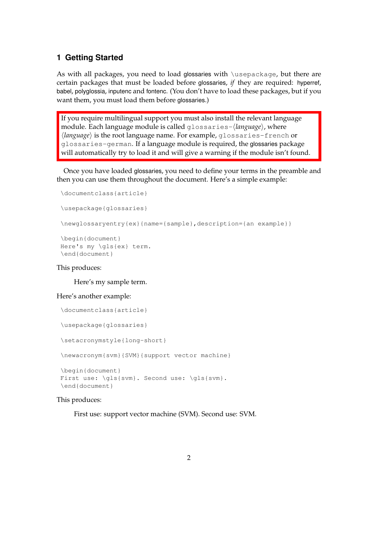## <span id="page-1-0"></span>**1 Getting Started**

As with all packages, you need to load glossaries with \usepackage, but there are certain packages that must be loaded before glossaries, *if* they are required: hyperref, babel, polyglossia, inputenc and fontenc. (You don't have to load these packages, but if you want them, you must load them before glossaries.)

If you require multilingual support you must also install the relevant language module. Each language module is called glossaries-⟨*language*⟩, where ⟨*language*⟩ is the root language name. For example, glossaries-french or glossaries-german. If a language module is required, the glossaries package will automatically try to load it and will give a warning if the module isn't found.

Once you have loaded glossaries, you need to define your terms in the preamble and then you can use them throughout the document. Here's a simple example:

```
\documentclass{article}
\usepackage{glossaries}
\newglossaryentry{ex}{name={sample},description={an example}}
\begin{document}
Here's my \gls{ex} term.
```
\end{document}

## This produces:

#### Here's my sample term.

#### Here's another example:

```
\documentclass{article}
\usepackage{glossaries}
\setacronymstyle{long-short}
\newacronym{svm}{SVM}{support vector machine}
\begin{document}
First use: \gtrsim \{sym\}. Second use: \gtrsim \gtrsim \gtrsim\end{document}
```
## This produces:

First use: support vector machine (SVM). Second use: SVM.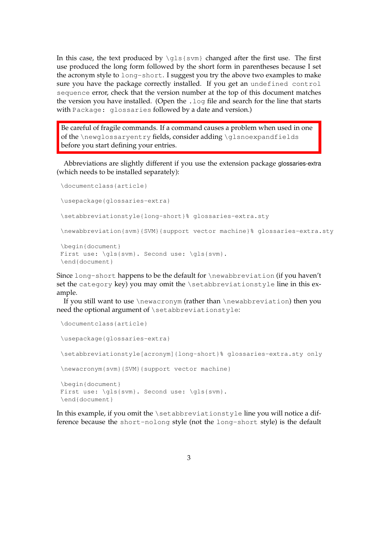In this case, the text produced by  $\qquada1s$  {svm} changed after the first use. The first use produced the long form followed by the short form in parentheses because I set the acronym style to long-short. I suggest you try the above two examples to make sure you have the package correctly installed. If you get an undefined control sequence error, check that the version number at the top of this document matches the version you have installed. (Open the . log file and search for the line that starts with Package: glossaries followed by a date and version.)

Be careful of fragile commands. If a command causes a problem when used in one of the \newglossaryentry fields, consider adding \glsnoexpandfields before you start defining your entries.

Abbreviations are slightly different if you use the extension package glossaries-extra (which needs to be installed separately):

```
\documentclass{article}
\usepackage{glossaries-extra}
\setabbreviationstyle{long-short}% glossaries-extra.sty
\newabbreviation{svm}{SVM}{support vector machine}% glossaries-extra.sty
\begin{document}
First use: \qquad \qls{svm}. Second use: \qquad \qls{svm}.
\end{document}
```
Since long-short happens to be the default for \newabbreviation (if you haven't set the category key) you may omit the \setabbreviationstyle line in this example.

If you still want to use \newacronym (rather than \newabbreviation) then you need the optional argument of \setabbreviationstyle:

```
\documentclass{article}
\usepackage{glossaries-extra}
\setabbreviationstyle[acronym]{long-short}% glossaries-extra.sty only
\newacronym{svm}{SVM}{support vector machine}
\begin{document}
First use: \gls{svm}. Second use: \gls{svm}.
\end{document}
```
In this example, if you omit the \setabbreviationstyle line you will notice a difference because the short-nolong style (not the long-short style) is the default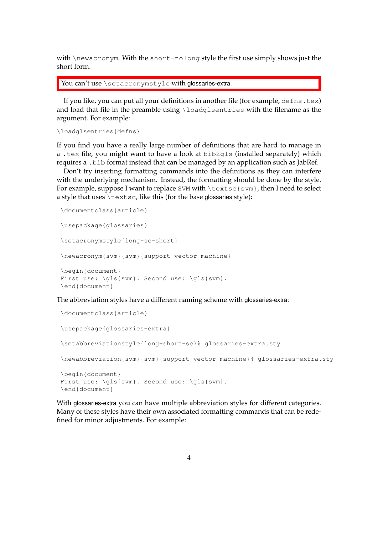with \newacronym. With the short-nolong style the first use simply shows just the short form.

You can't use \setacronymstyle with glossaries-extra.

If you like, you can put all your definitions in another file (for example,  $\text{defns.tex}$ ) and load that file in the preamble using \loadglsentries with the filename as the argument. For example:

```
\loadglsentries{defns}
```
If you find you have a really large number of definitions that are hard to manage in a .tex file, you might want to have a look at  $bib2qls$  (installed separately) which requires a .bib format instead that can be managed by an application such as JabRef.

Don't try inserting formatting commands into the definitions as they can interfere with the underlying mechanism. Instead, the formatting should be done by the style. For example, suppose I want to replace SVM with \textsc{svm}, then I need to select a style that uses \textsc, like this (for the base glossaries style):

```
\documentclass{article}
\usepackage{glossaries}
\setacronymstyle{long-sc-short}
\newacronym{svm}{svm}{support vector machine}
\begin{document}
First use: \gls{svm}. Second use: \gls{svm}.
\end{document}
```
The abbreviation styles have a different naming scheme with glossaries-extra:

```
\documentclass{article}
\usepackage{glossaries-extra}
\setabbreviationstyle{long-short-sc}% glossaries-extra.sty
\newabbreviation{svm}{svm}{support vector machine}% glossaries-extra.sty
\begin{document}
First use: \gtrsim 1s{svm}. Second use: \gtrsim 1s{svm}.
\end{document}
```
With glossaries-extra you can have multiple abbreviation styles for different categories. Many of these styles have their own associated formatting commands that can be redefined for minor adjustments. For example: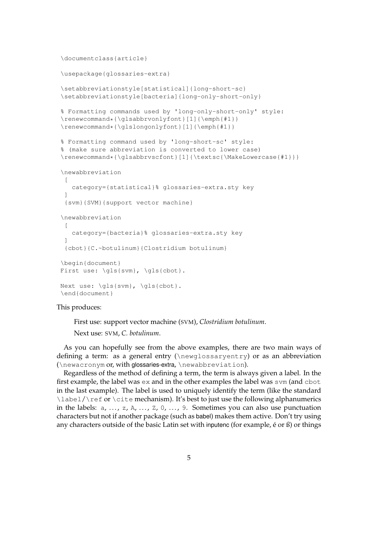```
\documentclass{article}
\usepackage{glossaries-extra}
\setabbreviationstyle[statistical]{long-short-sc}
\setabbreviationstyle[bacteria]{long-only-short-only}
% Formatting commands used by 'long-only-short-only' style:
\renewcommand*{\glsabbrvonlyfont}[1]{\emph{#1}}
\renewcommand*{\glslongonlyfont}[1]{\emph{#1}}
% Formatting command used by 'long-short-sc' style:
% (make sure abbreviation is converted to lower case)
\renewcommand*{\glsabbrvscfont}[1]{\textsc{\MakeLowercase{#1}}}
\newabbreviation
 \Gammacategory={statistical}% glossaries-extra.sty key
 \begin{array}{c} \rule{0pt}{2.5ex} \rule{0pt}{2.5ex} \rule{0pt}{2.5ex} \rule{0pt}{2.5ex} \rule{0pt}{2.5ex} \rule{0pt}{2.5ex} \rule{0pt}{2.5ex} \rule{0pt}{2.5ex} \rule{0pt}{2.5ex} \rule{0pt}{2.5ex} \rule{0pt}{2.5ex} \rule{0pt}{2.5ex} \rule{0pt}{2.5ex} \rule{0pt}{2.5ex} \rule{0pt}{2.5ex} \rule{0pt}{2.5ex} \rule{0pt}{2.5ex} \rule{0pt}{2.5ex} \rule{0pt}{2.5ex} \rule{0{svm}{SVM}{support vector machine}
\newabbreviation
 \sqrt{2}category={bacteria}% glossaries-extra.sty key
 ]
 {cbot}{C.~botulinum}{Clostridium botulinum}
\begin{document}
First use: \qls{svm}, \qls{cbot}.
Next use: \qls{svm}, \qls{cbot}.
\end{document}
```
#### This produces:

First use: support vector machine (SVM), *Clostridium botulinum*.

Next use: SVM, *C. botulinum*.

As you can hopefully see from the above examples, there are two main ways of defining a term: as a general entry (\newglossaryentry) or as an abbreviation (\newacronym or, with glossaries-extra, \newabbreviation).

Regardless of the method of defining a term, the term is always given a label. In the first example, the label was ex and in the other examples the label was svm (and cbot in the last example). The label is used to uniquely identify the term (like the standard \label/\ref or \cite mechanism). It's best to just use the following alphanumerics in the labels:  $a, ..., z, A, ..., Z, 0, ..., 9$ . Sometimes you can also use punctuation characters but not if another package (such as babel) makes them active. Don't try using any characters outside of the basic Latin set with inputenc (for example,  $\acute{\text{e}}$  or  $\acute{\text{B}}$ ) or things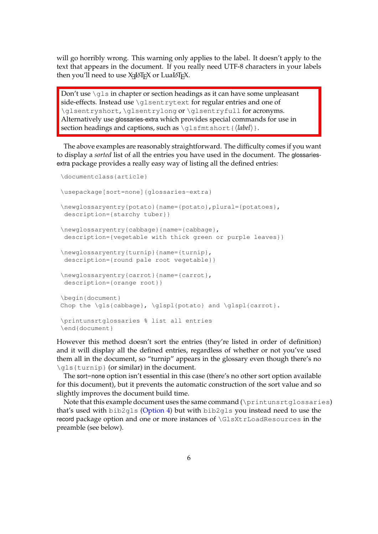will go horribly wrong. This warning only applies to the label. It doesn't apply to the text that appears in the document. If you really need UTF-8 characters in your labels then you'll need to use  $X$ AI $E$ X or Lua $E$ I $E$ X.

Don't use \qls in chapter or section headings as it can have some unpleasant side-effects. Instead use \glsentrytext for regular entries and one of \glsentryshort, \glsentrylong or \glsentryfull for acronyms. Alternatively use glossaries-extra which provides special commands for use in section headings and captions, such as \qlsfmtshort{ $\langle$ *label*} }.

The above examples are reasonably straightforward. The difficulty comes if you want to display a *sorted* list of all the entries you have used in the document. The glossariesextra package provides a really easy way of listing all the defined entries:

```
\documentclass{article}
\usepackage[sort=none]{glossaries-extra}
\newglossaryentry{potato}{name={potato},plural={potatoes},
description={starchy tuber}}
\newglossaryentry{cabbage}{name={cabbage},
description={vegetable with thick green or purple leaves}}
\newglossaryentry{turnip}{name={turnip},
description={round pale root vegetable}}
\newglossaryentry{carrot}{name={carrot},
description={orange root}}
\begin{document}
Chop the \gls{cabbage}, \glspl{potato} and \glspl{carrot}.
\printunsrtglossaries % list all entries
\end{document}
```
However this method doesn't sort the entries (they're listed in order of definition) and it will display all the defined entries, regardless of whether or not you've used them all in the document, so "turnip" appears in the glossary even though there's no \gls{turnip} (or similar) in the document.

The sort=none option isn't essential in this case (there's no other sort option available for this document), but it prevents the automatic construction of the sort value and so slightly improves the document build time.

Note that this example document uses the same command (\printunsrtqlossaries) that's used with bib2gls [\(Option 4\)](#page-21-0) but with bib2gls you instead need to use the record package option and one or more instances of \GlsXtrLoadResources in the preamble (see below).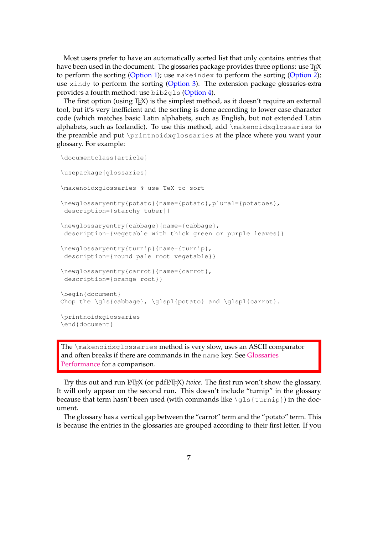Most users prefer to have an automatically sorted list that only contains entries that have been used in the document. The glossaries package provides three options: use  $T_FX$ to perform the sorting [\(Option 1\)](#page-16-1); use makeindex to perform the sorting [\(Option 2\)](#page-17-0); use xindy to perform the sorting [\(Option 3\)](#page-20-0). The extension package glossaries-extra provides a fourth method: use bib2gls [\(Option 4\)](#page-21-0).

The first option (using T<sub>E</sub>X) is the simplest method, as it doesn't require an external tool, but it's very inefficient and the sorting is done according to lower case character code (which matches basic Latin alphabets, such as English, but not extended Latin alphabets, such as Icelandic). To use this method, add \makenoidxglossaries to the preamble and put \printnoidxglossaries at the place where you want your glossary. For example:

```
\documentclass{article}
\usepackage{glossaries}
\makenoidxglossaries % use TeX to sort
\newglossaryentry{potato}{name={potato},plural={potatoes},
description={starchy tuber}}
\newglossaryentry{cabbage}{name={cabbage},
description={vegetable with thick green or purple leaves}}
\newglossaryentry{turnip}{name={turnip},
description={round pale root vegetable}}
\newglossaryentry{carrot}{name={carrot},
description={orange root}}
\begin{document}
Chop the \gls{cabbage}, \glspl{potato} and \glspl{carrot}.
\printnoidxglossaries
\end{document}
```
The \makenoidxglossaries method is very slow, uses an ASCII comparator and often breaks if there are commands in the name key. See [Glossaries](https://www.dickimaw-books.com/gallery/glossaries-performance.shtml) [Performance](https://www.dickimaw-books.com/gallery/glossaries-performance.shtml) for a comparison.

Try this out and run LAT<sub>E</sub>X (or pdfLAT<sub>E</sub>X) *twice*. The first run won't show the glossary. It will only appear on the second run. This doesn't include "turnip" in the glossary because that term hasn't been used (with commands like  $\qquad$ gls{turnip}) in the document.

The glossary has a vertical gap between the "carrot" term and the "potato" term. This is because the entries in the glossaries are grouped according to their first letter. If you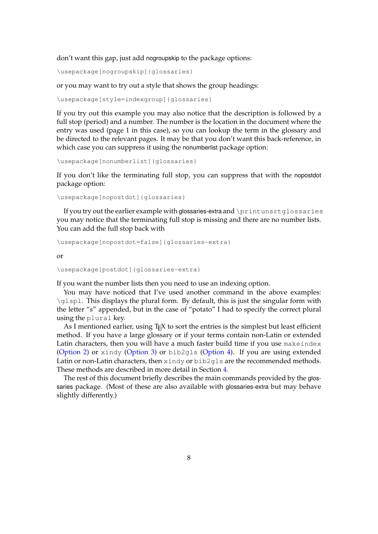don't want this gap, just add nogroupskip to the package options:

\usepackage[nogroupskip]{glossaries}

or you may want to try out a style that shows the group headings:

\usepackage[style=indexgroup]{glossaries}

If you try out this example you may also notice that the description is followed by a full stop (period) and a number. The number is the location in the document where the entry was used (page 1 in this case), so you can lookup the term in the glossary and be directed to the relevant pages. It may be that you don't want this back-reference, in which case you can suppress it using the nonumberlist package option:

\usepackage[nonumberlist]{glossaries}

If you don't like the terminating full stop, you can suppress that with the nopostdot package option:

\usepackage[nopostdot]{glossaries}

If you try out the earlier example with glossaries-extra and \printunsrtglossaries you may notice that the terminating full stop is missing and there are no number lists. You can add the full stop back with

```
\usepackage[nopostdot=false]{glossaries-extra}
```
or

```
\usepackage[postdot]{glossaries-extra}
```
If you want the number lists then you need to use an indexing option.

You may have noticed that I've used another command in the above examples:  $\qquad$  \qlspl. This displays the plural form. By default, this is just the singular form with the letter "s" appended, but in the case of "potato" I had to specify the correct plural using the plural key.

As I mentioned earlier, using T<sub>E</sub>X to sort the entries is the simplest but least efficient method. If you have a large glossary or if your terms contain non-Latin or extended Latin characters, then you will have a much faster build time if you use makeindex [\(Option 2\)](#page-17-0) or xindy [\(Option 3\)](#page-20-0) or bib2gls [\(Option 4\)](#page-21-0). If you are using extended Latin or non-Latin characters, then xindy or bib2gls are the recommended methods. These methods are described in more detail in Section [4.](#page-16-0)

The rest of this document briefly describes the main commands provided by the glossaries package. (Most of these are also available with glossaries-extra but may behave slightly differently.)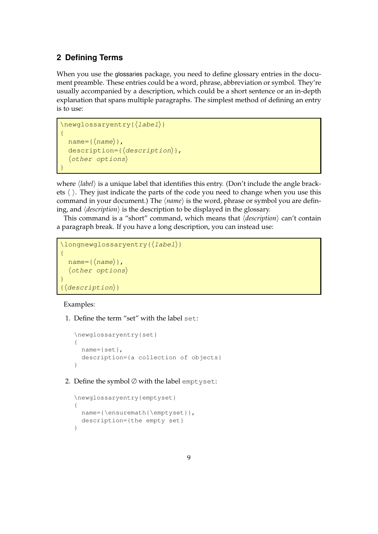# <span id="page-8-0"></span>**2 Defining Terms**

When you use the glossaries package, you need to define glossary entries in the document preamble. These entries could be a word, phrase, abbreviation or symbol. They're usually accompanied by a description, which could be a short sentence or an in-depth explanation that spans multiple paragraphs. The simplest method of defining an entry is to use:

```
\newglossaryentry{⟨label⟩}
{
 name=\{(name)\}\,description={⟨description⟩},
  ⟨other options⟩
}
```
where  $\langle$ *label* $\rangle$  is a unique label that identifies this entry. (Don't include the angle brackets ⟨ ⟩. They just indicate the parts of the code you need to change when you use this command in your document.) The ⟨*name*⟩ is the word, phrase or symbol you are defining, and ⟨*description*⟩ is the description to be displayed in the glossary.

This command is a "short" command, which means that ⟨*description*⟩ can't contain a paragraph break. If you have a long description, you can instead use:

```
\longnewglossaryentry{\langlelabel\rangle}
{
  name={\langlename}},
  ⟨other options⟩
}
 {⟨description⟩}
```
#### Examples:

1. Define the term "set" with the label set:

```
\newglossaryentry{set}
{
 name={set},
 description={a collection of objects}
}
```
2. Define the symbol ∅ with the label emptyset:

```
\newglossaryentry{emptyset}
{
 name={\ensuremath{\emptyset}},
 description={the empty set}
}
```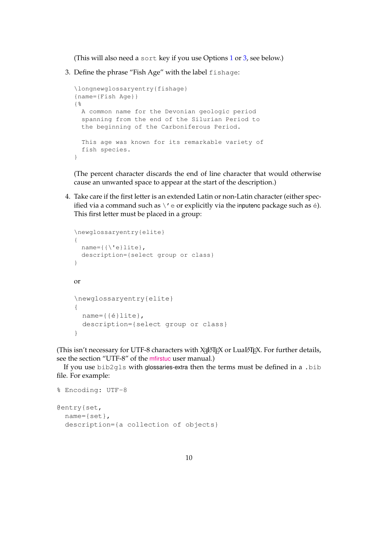(This will also need a sort key if you use Options [1](#page-16-1) or [3,](#page-20-0) see below.)

3. Define the phrase "Fish Age" with the label fishage:

```
\longnewglossaryentry{fishage}
{name={Fish Age}}
{%
 A common name for the Devonian geologic period
 spanning from the end of the Silurian Period to
 the beginning of the Carboniferous Period.
 This age was known for its remarkable variety of
 fish species.
}
```
(The percent character discards the end of line character that would otherwise cause an unwanted space to appear at the start of the description.)

4. Take care if the first letter is an extended Latin or non-Latin character (either specified via a command such as  $\setminus$ ' e or explicitly via the inputenc package such as  $\acute{e}$ ). This first letter must be placed in a group:

```
\newglossaryentry{elite}
{
 name={{\'e}lite},
  description={select group or class}
}
or
\newglossaryentry{elite}
{
 name={{é}lite},
  description={select group or class}
}
```
(This isn't necessary for UTF-8 characters with  $\chi_{\exists}$ LAT<sub>E</sub>X or LuaLAT<sub>E</sub>X. For further details, see the section "UTF-8" of the [mfirstuc](https://ctan.org/pkg/mfirstuc) user manual.)

If you use bib2gls with glossaries-extra then the terms must be defined in a .bib file. For example:

```
% Encoding: UTF-8
@entry{set,
 name={set},
 description={a collection of objects}
```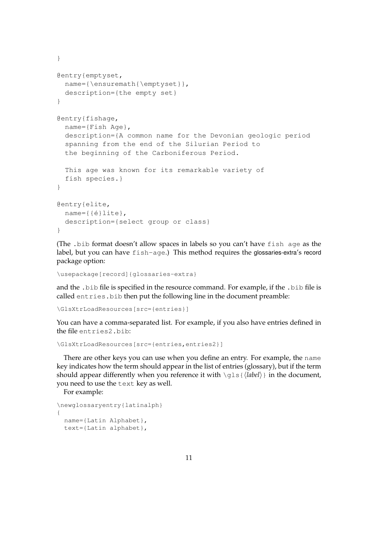```
}
@entry{emptyset,
 name={\ensuremath{\emptyset}},
 description={the empty set}
}
@entry{fishage,
 name={Fish Age},
 description={A common name for the Devonian geologic period
 spanning from the end of the Silurian Period to
 the beginning of the Carboniferous Period.
 This age was known for its remarkable variety of
 fish species.}
}
@entry{elite,
 name={{é}lite},
 description={select group or class}
}
```
(The .bib format doesn't allow spaces in labels so you can't have fish age as the label, but you can have fish-age.) This method requires the glossaries-extra's record package option:

```
\usepackage[record]{glossaries-extra}
```
and the .bib file is specified in the resource command. For example, if the .bib file is called entries.bib then put the following line in the document preamble:

```
\GlsXtrLoadResources[src={entries}]
```
You can have a comma-separated list. For example, if you also have entries defined in the file entries2.bib:

```
\GlsXtrLoadResources[src={entries,entries2}]
```
There are other keys you can use when you define an entry. For example, the name key indicates how the term should appear in the list of entries (glossary), but if the term should appear differently when you reference it with \gls{⟨*label*⟩} in the document, you need to use the text key as well.

For example:

```
\newglossaryentry{latinalph}
{
 name={Latin Alphabet},
 text={Latin alphabet},
```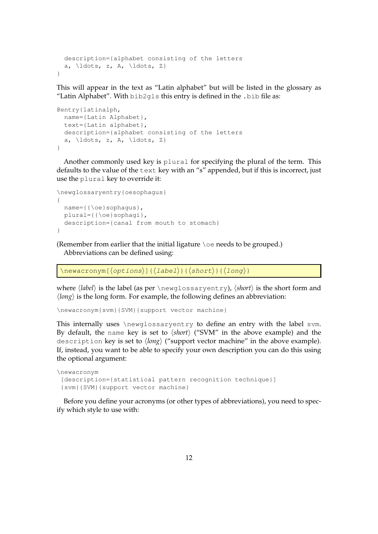```
description={alphabet consisting of the letters
 a, ldots, z, A, \ldots, z\}}
```
This will appear in the text as "Latin alphabet" but will be listed in the glossary as "Latin Alphabet". With bib2gls this entry is defined in the .bib file as:

```
@entry{latinalph,
 name={Latin Alphabet},
 text={Latin alphabet},
 description={alphabet consisting of the letters
 a, ldots, z, A, \ldots, z\}}
```
Another commonly used key is plural for specifying the plural of the term. This defaults to the value of the text key with an "s" appended, but if this is incorrect, just use the plural key to override it:

```
\newglossaryentry{oesophagus}
{
 name={{\oe}sophagus},
 plural={{\oe}sophagi},
 description={canal from mouth to stomach}
}
```
(Remember from earlier that the initial ligature \oe needs to be grouped.) Abbreviations can be defined using:

\newacronym[⟨options⟩]{⟨label⟩}{⟨short⟩}{⟨long⟩}

where ⟨*label*⟩ is the label (as per \newglossaryentry), ⟨*short*⟩ is the short form and ⟨*long*⟩ is the long form. For example, the following defines an abbreviation:

```
\newacronym{svm}{SVM}{support vector machine}
```
This internally uses \newglossaryentry to define an entry with the label svm. By default, the name key is set to ⟨*short*⟩ ("SVM" in the above example) and the description key is set to ⟨*long*⟩ ("support vector machine" in the above example). If, instead, you want to be able to specify your own description you can do this using the optional argument:

```
\newacronym
 [description={statistical pattern recognition technique}]
 {svm}{SVM}{support vector machine}
```
Before you define your acronyms (or other types of abbreviations), you need to specify which style to use with: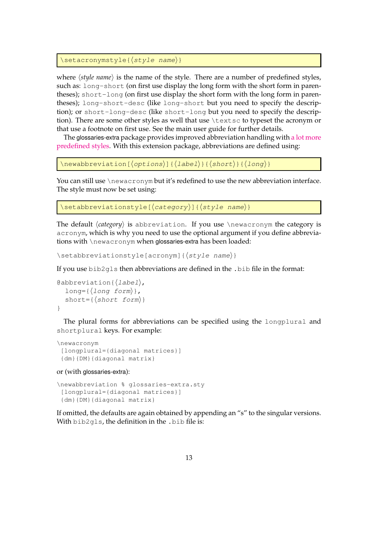```
\setacronymstyle{⟨style name⟩}
```
where  $\langle$ *style name* $\rangle$  is the name of the style. There are a number of predefined styles, such as: long-short (on first use display the long form with the short form in parentheses); short-long (on first use display the short form with the long form in parentheses); long-short-desc (like long-short but you need to specify the description); or short-long-desc (like short-long but you need to specify the description). There are some other styles as well that use \textsc to typeset the acronym or that use a footnote on first use. See the main user guide for further details.

The glossaries-extra package provides improved abbreviation handling with [a lot more](http://www.dickimaw-books.com/gallery/sample-abbr-styles.shtml) [predefined styles.](http://www.dickimaw-books.com/gallery/sample-abbr-styles.shtml) With this extension package, abbreviations are defined using:

```
\newabbreviation[⟨options⟩]{⟨label⟩}{⟨short⟩}{⟨long⟩}
```
You can still use \newacronym but it's redefined to use the new abbreviation interface. The style must now be set using:

```
\setabbreviationstyle[⟨category⟩]{⟨style name⟩}
```
The default ⟨*category*⟩ is abbreviation. If you use \newacronym the category is acronym, which is why you need to use the optional argument if you define abbreviations with \newacronym when glossaries-extra has been loaded:

\setabbreviationstyle[acronym]{⟨style name⟩}

If you use bib2gls then abbreviations are defined in the .bib file in the format:

```
@abbreviation{⟨label⟩,
   long={\{\langle long\; form \rangle\}},
   short={\langle short\ form\rangle}
}
```
The plural forms for abbreviations can be specified using the longplural and shortplural keys. For example:

```
\newacronym
 [longplural={diagonal matrices}]
 {dm}{DM}{diagonal matrix}
```
or (with glossaries-extra):

```
\newabbreviation % glossaries-extra.sty
 [longplural={diagonal matrices}]
 {dm}{DM}{diagonal matrix}
```
If omitted, the defaults are again obtained by appending an "s" to the singular versions. With bib2gls, the definition in the .bib file is: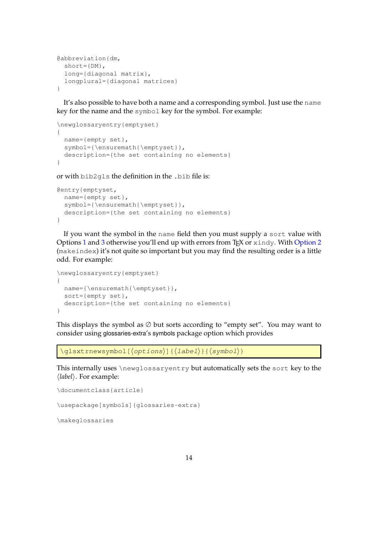```
@abbreviation{dm,
 short={DM},
  long={diagonal matrix},
  longplural={diagonal matrices}
}
```
It's also possible to have both a name and a corresponding symbol. Just use the name key for the name and the symbol key for the symbol. For example:

```
\newglossaryentry{emptyset}
{
 name={empty set},
 symbol={\ensuremath{\emptyset}},
 description={the set containing no elements}
}
```
or with bib2gls the definition in the .bib file is:

```
@entry{emptyset,
 name={empty set},
 symbol={\ensuremath{\emptyset}},
 description={the set containing no elements}
}
```
If you want the symbol in the name field then you must supply a sort value with Options [1](#page-16-1) and [3](#page-20-0) otherwise you'll end up with errors from  $T_FX$  or  $x$  indy. With [Option 2](#page-17-0) (makeindex) it's not quite so important but you may find the resulting order is a little odd. For example:

```
\newglossaryentry{emptyset}
{
 name={\ensuremath{\emptyset}},
 sort={empty set},
 description={the set containing no elements}
}
```
This displays the symbol as  $\emptyset$  but sorts according to "empty set". You may want to consider using glossaries-extra's symbols package option which provides

\glsxtrnewsymbol[⟨options⟩]{⟨label⟩}{⟨symbol⟩}

This internally uses \newglossaryentry but automatically sets the sort key to the ⟨*label*⟩. For example:

```
\documentclass{article}
```
\usepackage[symbols]{glossaries-extra}

\makeglossaries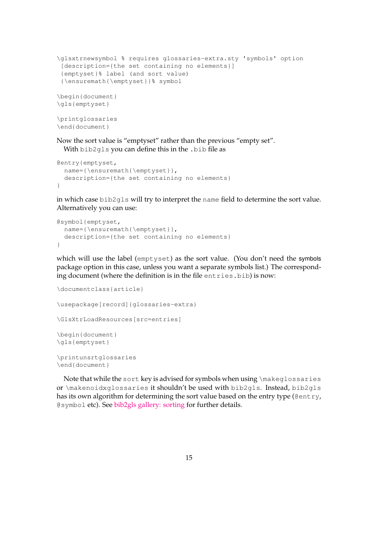```
\glsxtrnewsymbol % requires glossaries-extra.sty 'symbols' option
[description={the set containing no elements}]
{emptyset}% label (and sort value)
 {\ensuremath{\emptyset}}% symbol
\begin{document}
\gls{emptyset}
\printglossaries
\end{document}
```
Now the sort value is "emptyset" rather than the previous "empty set". With bib2gls you can define this in the .bib file as

```
@entry{emptyset,
 name={\ensuremath{\emptyset}},
 description={the set containing no elements}
}
```
in which case bib2gls will try to interpret the name field to determine the sort value. Alternatively you can use:

```
@symbol{emptyset,
 name={\ensuremath{\emptyset}},
 description={the set containing no elements}
}
```
which will use the label (emptyset) as the sort value. (You don't need the symbols package option in this case, unless you want a separate symbols list.) The corresponding document (where the definition is in the file entries.bib) is now:

```
\documentclass{article}
\usepackage[record]{glossaries-extra}
\GlsXtrLoadResources[src=entries]
\begin{document}
\gls{emptyset}
\printunsrtglossaries
\end{document}
```
Note that while the sort key is advised for symbols when using \makeglossaries or \makenoidxglossaries it shouldn't be used with bib2gls. Instead, bib2gls has its own algorithm for determining the sort value based on the entry type ( $\ell$ entry, @symbol etc). See [bib2gls gallery: sorting](https://www.dickimaw-books.com/gallery/index.php?label=bib2gls-sorting) for further details.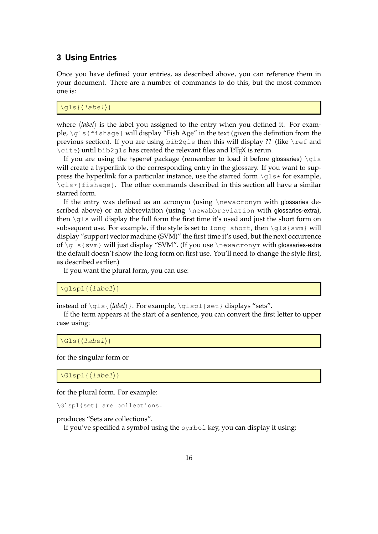## <span id="page-15-0"></span>**3 Using Entries**

Once you have defined your entries, as described above, you can reference them in your document. There are a number of commands to do this, but the most common one is:

\qls{ $\langle$ *label*}}

where  $\langle label \rangle$  is the label you assigned to the entry when you defined it. For example, \gls{fishage} will display "Fish Age" in the text (given the definition from the previous section). If you are using  $bib2qls$  then this will display ?? (like \ref and \cite) until bib2qls has created the relevant files and LATEX is rerun.

If you are using the hyperref package (remember to load it before glossaries) \qls will create a hyperlink to the corresponding entry in the glossary. If you want to suppress the hyperlink for a particular instance, use the starred form  $\gtrsim s$  for example, \gls\*{fishage}. The other commands described in this section all have a similar starred form.

If the entry was defined as an acronym (using \newacronym with glossaries described above) or an abbreviation (using \newabbreviation with glossaries-extra), then  $\qquad$ gls will display the full form the first time it's used and just the short form on subsequent use. For example, if the style is set to long-short, then  $\gtrsim$  sls {svm} will display "support vector machine (SVM)" the first time it's used, but the next occurrence of \gls{svm} will just display "SVM". (If you use \newacronym with glossaries-extra the default doesn't show the long form on first use. You'll need to change the style first, as described earlier.)

If you want the plural form, you can use:

\glspl{⟨label⟩}

instead of \qls{*\label*}}. For example, \qlspl{set} displays "sets".

If the term appears at the start of a sentence, you can convert the first letter to upper case using:

\Gls{⟨label⟩}

for the singular form or

\Glspl{⟨label⟩}

for the plural form. For example:

\Glspl{set} are collections.

produces "Sets are collections".

If you've specified a symbol using the symbol key, you can display it using: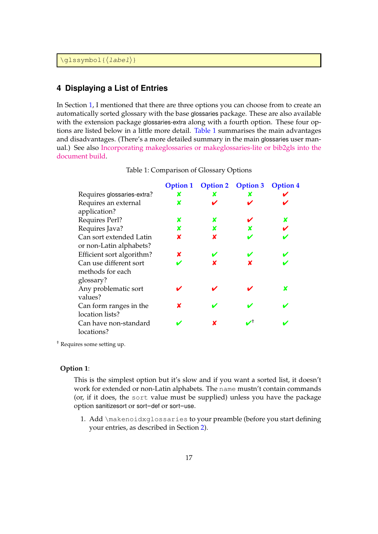\glssymbol{⟨label⟩}

## <span id="page-16-0"></span>**4 Displaying a List of Entries**

In Section [1,](#page-1-0) I mentioned that there are three options you can choose from to create an automatically sorted glossary with the base glossaries package. These are also available with the extension package glossaries-extra along with a fourth option. These four options are listed below in a little more detail. [Table 1](#page-16-2) summarises the main advantages and disadvantages. (There's a more detailed summary in the main glossaries user manual.) See also [Incorporating makeglossaries or makeglossaries-lite or bib2gls into the](https://www.dickimaw-books.com/latex/buildglossaries/) [document build.](https://www.dickimaw-books.com/latex/buildglossaries/)

|                            | <b>Option 1</b> | <b>Option 2</b> | <b>Option 3</b> | <b>Option 4</b> |
|----------------------------|-----------------|-----------------|-----------------|-----------------|
| Requires glossaries-extra? | x               | x               | x               |                 |
| Requires an external       | x               |                 |                 |                 |
| application?               |                 |                 |                 |                 |
| Requires Perl?             | x               | x               |                 | x               |
| Requires Java?             | X               | x               | x               |                 |
| Can sort extended Latin    | X               | x               |                 |                 |
| or non-Latin alphabets?    |                 |                 |                 |                 |
| Efficient sort algorithm?  | x               |                 |                 |                 |
| Can use different sort     |                 | x               | x               |                 |
| methods for each           |                 |                 |                 |                 |
| glossary?                  |                 |                 |                 |                 |
| Any problematic sort       |                 |                 |                 | x               |
| values?                    |                 |                 |                 |                 |
| Can form ranges in the     | x               |                 |                 |                 |
| location lists?            |                 |                 |                 |                 |
| Can have non-standard      |                 | x               |                 |                 |
| locations?                 |                 |                 |                 |                 |

<span id="page-16-2"></span>Table 1: Comparison of Glossary Options

† Requires some setting up.

### <span id="page-16-1"></span>**Option 1**:

This is the simplest option but it's slow and if you want a sorted list, it doesn't work for extended or non-Latin alphabets. The name mustn't contain commands (or, if it does, the sort value must be supplied) unless you have the package option sanitizesort or sort=def or sort=use.

1. Add \makenoidxglossaries to your preamble (before you start defining your entries, as described in Section [2\)](#page-8-0).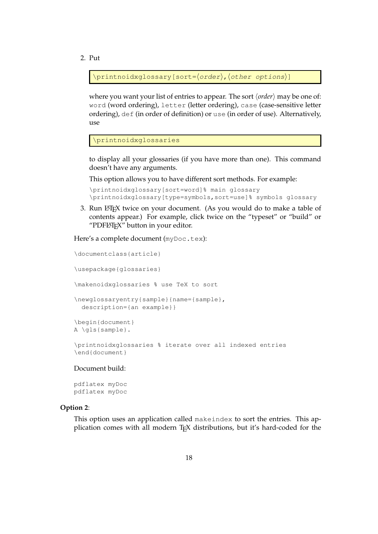2. Put

\printnoidxglossary[sort=⟨order⟩,⟨other options⟩]

where you want your list of entries to appear. The sort ⟨*order*⟩ may be one of: word (word ordering), letter (letter ordering), case (case-sensitive letter ordering), def (in order of definition) or use (in order of use). Alternatively, use

\printnoidxglossaries

to display all your glossaries (if you have more than one). This command doesn't have any arguments.

This option allows you to have different sort methods. For example:

```
\printnoidxglossary[sort=word]% main glossary
\printnoidxglossary[type=symbols,sort=use]% symbols glossary
```
3. Run LATEX twice on your document. (As you would do to make a table of contents appear.) For example, click twice on the "typeset" or "build" or "PDFLAT<sub>E</sub>X" button in your editor.

Here's a complete document (myDoc.tex):

```
\documentclass{article}
\usepackage{glossaries}
\makenoidxglossaries % use TeX to sort
\newglossaryentry{sample}{name={sample},
 description={an example}}
\begin{document}
A \gls{sample}.
\printnoidxglossaries % iterate over all indexed entries
\end{document}
```
#### Document build:

pdflatex myDoc pdflatex myDoc

#### <span id="page-17-0"></span>**Option 2**:

This option uses an application called makeindex to sort the entries. This application comes with all modern TEX distributions, but it's hard-coded for the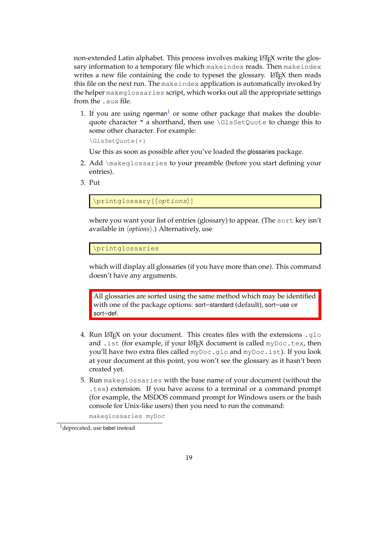non-extended Latin alphabet. This process involves making LATEX write the glossary information to a temporary file which makeindex reads. Then makeindex writes a new file containing the code to typeset the glossary.  $\mathbb{E}[\mathbb{E}[X]]$  then reads this file on the next run. The makeindex application is automatically invoked by the helper makeglossaries script, which works out all the appropriate settings from the .aux file.

[1](#page-18-0). If you are using ngerman<sup>1</sup> or some other package that makes the doublequote character " a shorthand, then use \GlsSetQuote to change this to some other character. For example:

\GlsSetQuote{+}

Use this as soon as possible after you've loaded the glossaries package.

- 2. Add \makeglossaries to your preamble (before you start defining your entries).
- 3. Put

\printglossary[⟨options⟩]

where you want your list of entries (glossary) to appear. (The sort key isn't available in ⟨*options*⟩.) Alternatively, use

\printglossaries

which will display all glossaries (if you have more than one). This command doesn't have any arguments.

All glossaries are sorted using the same method which may be identified with one of the package options: sort=standard (default), sort=use or sort=def.

- 4. Run LATEX on your document. This creates files with the extensions .  $q$ 10 and .ist (for example, if your LATEX document is called myDoc.tex, then you'll have two extra files called myDoc.glo and myDoc.ist). If you look at your document at this point, you won't see the glossary as it hasn't been created yet.
- 5. Run makeglossaries with the base name of your document (without the .tex) extension. If you have access to a terminal or a command prompt (for example, the MSDOS command prompt for Windows users or the bash console for Unix-like users) then you need to run the command:

makeglossaries myDoc

<span id="page-18-0"></span><sup>1</sup>deprecated, use babel instead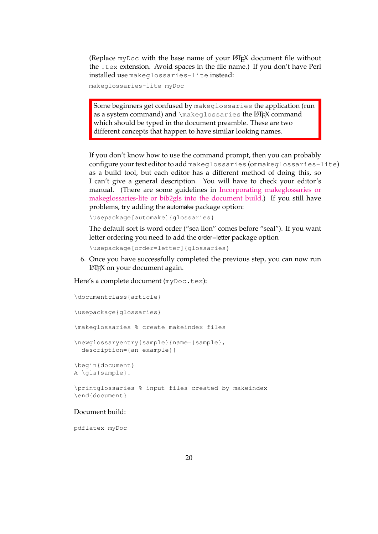(Replace myDoc with the base name of your LATEX document file without the .tex extension. Avoid spaces in the file name.) If you don't have Perl installed use makeglossaries-lite instead:

makeglossaries-lite myDoc

Some beginners get confused by makeglossaries the application (run as a system command) and \makeglossaries the LATEX command which should be typed in the document preamble. These are two different concepts that happen to have similar looking names.

If you don't know how to use the command prompt, then you can probably configure your text editor to add makeglossaries (or makeglossaries-lite) as a build tool, but each editor has a different method of doing this, so I can't give a general description. You will have to check your editor's manual. (There are some guidelines in [Incorporating makeglossaries or](https://www.dickimaw-books.com/latex/buildglossaries/) [makeglossaries-lite or bib2gls into the document build.](https://www.dickimaw-books.com/latex/buildglossaries/)) If you still have problems, try adding the automake package option:

\usepackage[automake]{glossaries}

The default sort is word order ("sea lion" comes before "seal"). If you want letter ordering you need to add the order=letter package option

\usepackage[order=letter]{glossaries}

6. Once you have successfully completed the previous step, you can now run LATEX on your document again.

Here's a complete document (myDoc.tex):

```
\documentclass{article}
\usepackage{glossaries}
\makeglossaries % create makeindex files
\newglossaryentry{sample}{name={sample},
 description={an example}}
\begin{document}
A \gls{sample}.
\printglossaries % input files created by makeindex
\end{document}
```
#### Document build:

pdflatex myDoc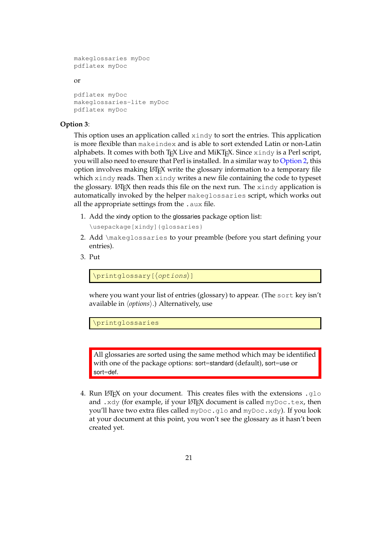```
makeglossaries myDoc
pdflatex myDoc
```
#### or

```
pdflatex myDoc
makeglossaries-lite myDoc
pdflatex myDoc
```
#### <span id="page-20-0"></span>**Option 3**:

This option uses an application called xindy to sort the entries. This application is more flexible than makeindex and is able to sort extended Latin or non-Latin alphabets. It comes with both T<sub>EX</sub> Live and MiKT<sub>EX</sub>. Since  $x$  indy is a Perl script, you will also need to ensure that Perl is installed. In a similar way to [Option 2,](#page-17-0) this option involves making LATEX write the glossary information to a temporary file which xindy reads. Then xindy writes a new file containing the code to typeset the glossary. LATEX then reads this file on the next run. The  $x$  indy application is automatically invoked by the helper makeglossaries script, which works out all the appropriate settings from the . aux file.

- 1. Add the xindy option to the glossaries package option list:
	- \usepackage[xindy]{glossaries}
- 2. Add \makeglossaries to your preamble (before you start defining your entries).
- 3. Put

\printglossary[⟨options⟩]

where you want your list of entries (glossary) to appear. (The sort key isn't available in ⟨*options*⟩.) Alternatively, use

\printglossaries

All glossaries are sorted using the same method which may be identified with one of the package options: sort=standard (default), sort=use or sort=def.

4. Run LATEX on your document. This creates files with the extensions .  $q$ 10 and . xdy (for example, if your LATEX document is called  $myDoc.$  tex, then you'll have two extra files called  $myDoc$ , qlo and  $myDoc$ , xdy). If you look at your document at this point, you won't see the glossary as it hasn't been created yet.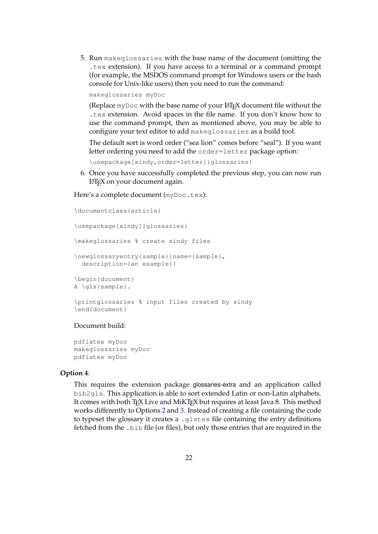5. Run makeglossaries with the base name of the document (omitting the .tex extension). If you have access to a terminal or a command prompt (for example, the MSDOS command prompt for Windows users or the bash console for Unix-like users) then you need to run the command:

makeglossaries myDoc

(Replace myDoc with the base name of your LATEX document file without the .tex extension. Avoid spaces in the file name. If you don't know how to use the command prompt, then as mentioned above, you may be able to configure your text editor to add makeglossaries as a build tool.

The default sort is word order ("sea lion" comes before "seal"). If you want letter ordering you need to add the order=letter package option:

\usepackage[xindy,order=letter]{glossaries}

6. Once you have successfully completed the previous step, you can now run LATEX on your document again.

Here's a complete document (myDoc.tex):

```
\documentclass{article}
\usepackage[xindy]{glossaries}
\makeglossaries % create xindy files
\newglossaryentry{sample}{name={sample},
 description={an example}}
\begin{document}
A \gls{sample}.
\printglossaries % input files created by xindy
\end{document}
```
#### Document build:

pdflatex myDoc makeglossaries myDoc pdflatex myDoc

### <span id="page-21-0"></span>**Option 4**:

This requires the extension package glossaries-extra and an application called bib2gls. This application is able to sort extended Latin or non-Latin alphabets. It comes with both T<sub>E</sub>X Live and MiKT<sub>E</sub>X but requires at least Java 8. This method works differently to Options [2](#page-17-0) and [3.](#page-20-0) Instead of creating a file containing the code to typeset the glossary it creates a .glstex file containing the entry definitions fetched from the .bib file (or files), but only those entries that are required in the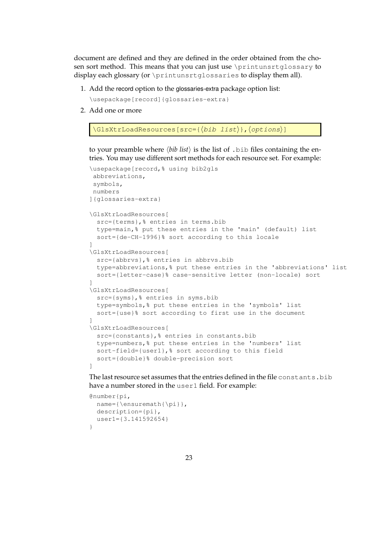document are defined and they are defined in the order obtained from the chosen sort method. This means that you can just use \printunsrtglossary to display each glossary (or \printunsrtqlossaries to display them all).

1. Add the record option to the glossaries-extra package option list:

\usepackage[record]{glossaries-extra}

2. Add one or more

```
\GlsXtrLoadResources[src={⟨bib list⟩},⟨options⟩]
```
to your preamble where ⟨*bib list*⟩ is the list of .bib files containing the entries. You may use different sort methods for each resource set. For example:

```
\usepackage[record,% using bib2gls
abbreviations,
symbols,
numbers
]{glossaries-extra}
\GlsXtrLoadResources[
 src={terms},% entries in terms.bib
 type=main,% put these entries in the 'main' (default) list
 sort={de-CH-1996}% sort according to this locale
]
\GlsXtrLoadResources[
 src={abbrvs},% entries in abbrvs.bib
 type=abbreviations,% put these entries in the 'abbreviations' list
 sort={letter-case}% case-sensitive letter (non-locale) sort
]
\GlsXtrLoadResources[
 src={syms},% entries in syms.bib
 type=symbols,% put these entries in the 'symbols' list
 sort={use}% sort according to first use in the document
]
\GlsXtrLoadResources[
 src={constants},% entries in constants.bib
 type=numbers,% put these entries in the 'numbers' list
 sort-field={user1},% sort according to this field
 sort={double}% double-precision sort
\begin{array}{c} \end{array}
```
The last resource set assumes that the entries defined in the file constants.bib have a number stored in the user1 field. For example:

```
@number{pi,
 name={\ensuremath{\pi}},
  description={pi},
  user1={3.141592654}
}
```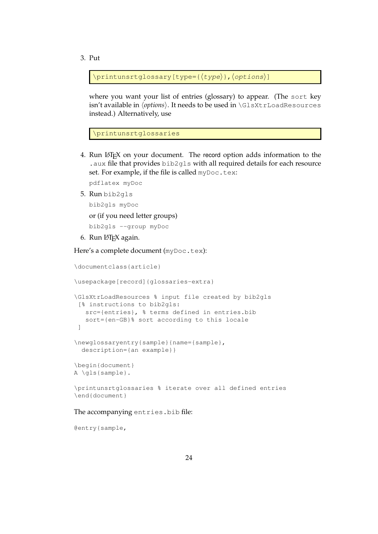3. Put

\printunsrtglossary[type={⟨type⟩},⟨options⟩]

where you want your list of entries (glossary) to appear. (The sort key isn't available in ⟨*options*⟩. It needs to be used in \GlsXtrLoadResources instead.) Alternatively, use

```
\printunsrtglossaries
```
4. Run LATEX on your document. The record option adds information to the .aux file that provides bib2gls with all required details for each resource set. For example, if the file is called myDoc.tex:

pdflatex myDoc

5. Run bib2gls

bib2gls myDoc

or (if you need letter groups)

bib2gls --group myDoc

6. Run LAT<sub>F</sub>X again.

Here's a complete document (myDoc.tex):

\documentclass{article}

\usepackage[record]{glossaries-extra}

```
\GlsXtrLoadResources % input file created by bib2gls
 [% instructions to bib2gls:
  src={entries}, % terms defined in entries.bib
  sort={en-GB}% sort according to this locale
 ]
\newglossaryentry{sample}{name={sample},
 description={an example}}
```

```
\begin{document}
A \gls{sample}.
```
\printunsrtglossaries % iterate over all defined entries \end{document}

#### The accompanying entries.bib file:

@entry{sample,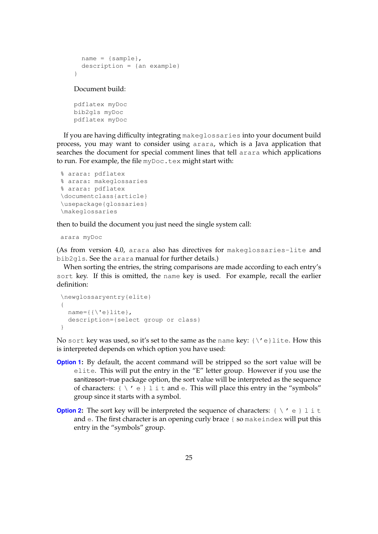```
name = {sample},description = {an example}
}
```
Document build:

```
pdflatex myDoc
bib2gls myDoc
pdflatex myDoc
```
If you are having difficulty integrating makeglossaries into your document build process, you may want to consider using arara, which is a Java application that searches the document for special comment lines that tell arara which applications to run. For example, the file  $myDoc.$  tex might start with:

```
% arara: pdflatex
% arara: makeglossaries
% arara: pdflatex
\documentclass{article}
\usepackage{glossaries}
\makeglossaries
```
then to build the document you just need the single system call:

arara myDoc

(As from version 4.0, arara also has directives for makeglossaries-lite and bib2gls. See the arara manual for further details.)

When sorting the entries, the string comparisons are made according to each entry's sort key. If this is omitted, the name key is used. For example, recall the earlier definition:

```
\newglossaryentry{elite}
{
 name={\{\setminus {e}\}\right.}lite},
  description={select group or class}
}
```
No sort key was used, so it's set to the same as the name key:  ${\setminus}'$  e}lite. How this is interpreted depends on which option you have used:

- **[Option 1:](#page-16-1)** By default, the accent command will be stripped so the sort value will be elite. This will put the entry in the "E" letter group. However if you use the sanitizesort=true package option, the sort value will be interpreted as the sequence of characters: {  $\setminus$  ' e } 1 i t and e. This will place this entry in the "symbols" group since it starts with a symbol.
- **[Option 2:](#page-17-0)** The sort key will be interpreted the sequence of characters:  $\{\ \setminus\' e\} \perp i \in I$ and e. The first character is an opening curly brace { so makeindex will put this entry in the "symbols" group.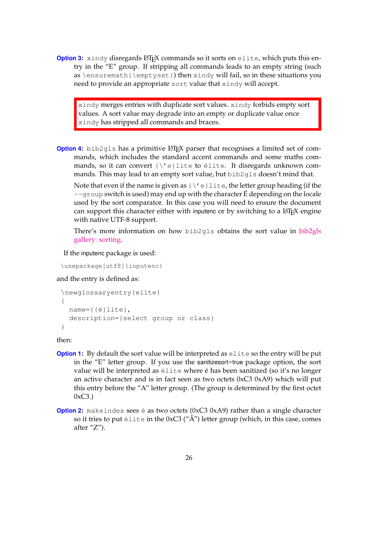**[Option 3:](#page-20-0)** xindy disregards LATEX commands so it sorts on elite, which puts this entry in the "E" group. If stripping all commands leads to an empty string (such as \ensuremath{\emptyset}) then xindy will fail, so in these situations you need to provide an appropriate sort value that xindy will accept.

xindy merges entries with duplicate sort values. xindy forbids empty sort values. A sort value may degrade into an empty or duplicate value once xindy has stripped all commands and braces.

**[Option 4:](#page-21-0)** bib2gls has a primitive LATEX parser that recognises a limited set of commands, which includes the standard accent commands and some maths commands, so it can convert {\'e}lite to élite. It disregards unknown commands. This may lead to an empty sort value, but bib2gls doesn't mind that.

Note that even if the name is given as  ${\setminus}'e$  lite, the letter group heading (if the  $-\gamma$  roup switch is used) may end up with the character  $\acute{E}$  depending on the locale used by the sort comparator. In this case you will need to ensure the document can support this character either with inputenc or by switching to a LATEX engine with native UTF-8 support.

There's more information on how bib2gls obtains the sort value in [bib2gls](https://www.dickimaw-books.com/gallery/index.php?label=bib2gls-sorting) [gallery: sorting.](https://www.dickimaw-books.com/gallery/index.php?label=bib2gls-sorting)

If the inputenc package is used:

\usepackage[utf8]{inputenc}

and the entry is defined as:

```
\newglossaryentry{elite}
{
 name={{é}lite},
 description={select group or class}
}
```
then:

- **[Option 1:](#page-16-1)** By default the sort value will be interpreted as elite so the entry will be put in the "E" letter group. If you use the sanitizesort=true package option, the sort value will be interpreted as élite where é has been sanitized (so it's no longer an active character and is in fact seen as two octets 0xC3 0xA9) which will put this entry before the "A" letter group. (The group is determined by the first octet  $0xC3.$
- **[Option 2:](#page-17-0)** makeindex sees é as two octets (0xC3 0xA9) rather than a single character so it tries to put élite in the  $0xC3$  (" $\tilde{A}$ ") letter group (which, in this case, comes after "Z").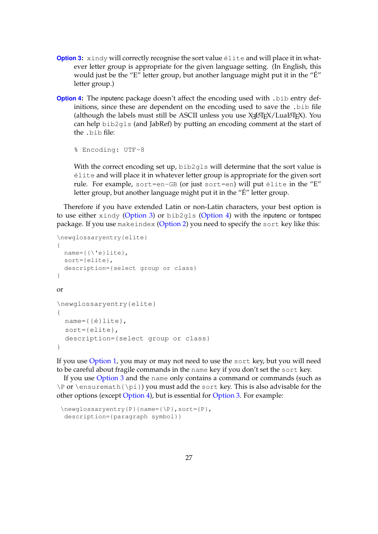- **[Option 3:](#page-20-0)** xindy will correctly recognise the sort value  $\acute{e}$  lite and will place it in whatever letter group is appropriate for the given language setting. (In English, this would just be the "E" letter group, but another language might put it in the "É" letter group.)
- **[Option 4:](#page-21-0)** The inputenc package doesn't affect the encoding used with .bib entry definitions, since these are dependent on the encoding used to save the .bib file (although the labels must still be ASCII unless you use  $\chi_{\rm \overline{d}}$ ATEX/LuaIATEX). You can help bib2gls (and JabRef) by putting an encoding comment at the start of the .bib file:

```
% Encoding: UTF-8
```
With the correct encoding set up, bib2qls will determine that the sort value is élite and will place it in whatever letter group is appropriate for the given sort rule. For example, sort=en-GB (or just sort=en) will put élite in the "E" letter group, but another language might put it in the "É" letter group.

Therefore if you have extended Latin or non-Latin characters, your best option is to use either  $x$  indy [\(Option 3\)](#page-20-0) or bib2gls [\(Option 4\)](#page-21-0) with the inputenc or fontspec package. If you use makeindex [\(Option 2\)](#page-17-0) you need to specify the sort key like this:

```
\newglossaryentry{elite}
{
  name={\{\{\setminus\} e\}}lite},
  sort={elite},
  description={select group or class}
}
or
\newglossaryentry{elite}
{
  name={{é}lite},
  sort={elite},
  description={select group or class}
}
```
If you use [Option 1,](#page-16-1) you may or may not need to use the sort key, but you will need to be careful about fragile commands in the name key if you don't set the sort key.

If you use [Option 3](#page-20-0) and the name only contains a command or commands (such as \P or \ensuremath{\pi}) you must add the sort key. This is also advisable for the other options (except [Option 4\)](#page-21-0), but is essential for [Option 3.](#page-20-0) For example:

```
\newglossaryentry{P}{name={\P},sort={P},
 description={paragraph symbol}}
```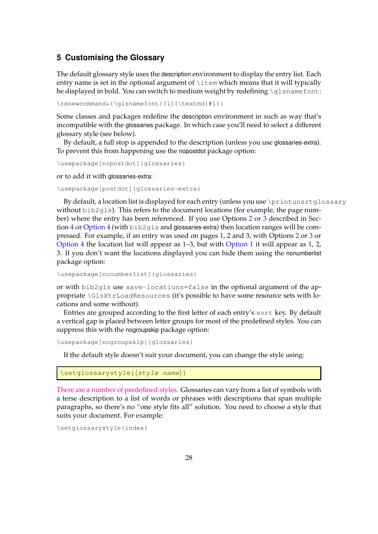## <span id="page-27-0"></span>**5 Customising the Glossary**

The default glossary style uses the description environment to display the entry list. Each entry name is set in the optional argument of  $\iota$ tem which means that it will typically be displayed in bold. You can switch to medium weight by redefining  $\qquad$  sname font:

\renewcommand\*{\qlsnamefont}[1]{\textmd{#1}}

Some classes and packages redefine the description environment in such as way that's incompatible with the glossaries package. In which case you'll need to select a different glossary style (see below).

By default, a full stop is appended to the description (unless you use glossaries-extra). To prevent this from happening use the nopostdot package option:

```
\usepackage[nopostdot]{glossaries}
```
or to add it with glossaries-extra:

```
\usepackage[postdot]{glossaries-extra}
```
By default, a location list is displayed for each entry (unless you use \printunsrtglossary without  $bib2qls$ ). This refers to the document locations (for example, the page number) where the entry has been referenced. If you use Options [2](#page-17-0) or [3](#page-20-0) described in Sec-tion [4](#page-16-0) or [Option 4](#page-21-0) (with  $bib2qls$  and glossaries-extra) then location ranges will be compressed. For example, if an entry was used on pages 1, 2 and 3, with Options [2](#page-17-0) or [3](#page-20-0) or [Option 4](#page-21-0) the location list will appear as 1–3, but with [Option 1](#page-16-1) it will appear as 1, 2, 3. If you don't want the locations displayed you can hide them using the nonumberlist package option:

```
\usepackage[nonumberlist]{glossaries}
```
or with bib2gls use save-locations=false in the optional argument of the appropriate \GlsXtrLoadResources (it's possible to have some resource sets with locations and some without).

Entries are grouped according to the first letter of each entry's sort key. By default a vertical gap is placed between letter groups for most of the predefined styles. You can suppress this with the nogroupskip package option:

\usepackage[nogroupskip]{glossaries}

If the default style doesn't suit your document, you can change the style using:

```
\setglossarystyle{⟨style name⟩}
```
[There are a number of predefined styles.](http://www.dickimaw-books.com/gallery/glossaries-styles/) Glossaries can vary from a list of symbols with a terse description to a list of words or phrases with descriptions that span multiple paragraphs, so there's no "one style fits all" solution. You need to choose a style that suits your document. For example:

```
\setglossarystyle{index}
```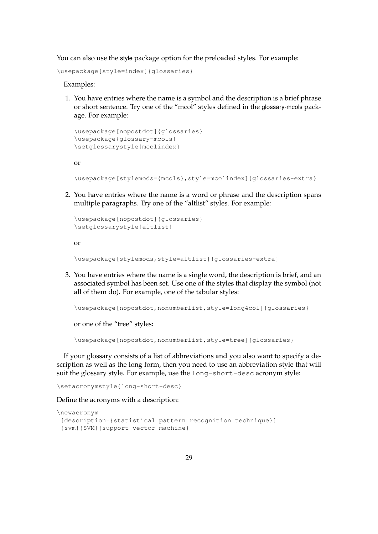You can also use the style package option for the preloaded styles. For example:

\usepackage[style=index]{glossaries}

Examples:

1. You have entries where the name is a symbol and the description is a brief phrase or short sentence. Try one of the "mcol" styles defined in the glossary-mcols package. For example:

```
\usepackage[nopostdot]{glossaries}
\usepackage{glossary-mcols}
\setglossarystyle{mcolindex}
```
or

\usepackage[stylemods={mcols},style=mcolindex]{glossaries-extra}

2. You have entries where the name is a word or phrase and the description spans multiple paragraphs. Try one of the "altlist" styles. For example:

```
\usepackage[nopostdot]{glossaries}
\setglossarystyle{altlist}
```
or

\usepackage[stylemods,style=altlist]{glossaries-extra}

3. You have entries where the name is a single word, the description is brief, and an associated symbol has been set. Use one of the styles that display the symbol (not all of them do). For example, one of the tabular styles:

\usepackage[nopostdot,nonumberlist,style=long4col]{glossaries}

or one of the "tree" styles:

\usepackage[nopostdot,nonumberlist,style=tree]{glossaries}

If your glossary consists of a list of abbreviations and you also want to specify a description as well as the long form, then you need to use an abbreviation style that will suit the glossary style. For example, use the long-short-desc acronym style:

\setacronymstyle{long-short-desc}

Define the acronyms with a description:

```
\newacronym
[description={statistical pattern recognition technique}]
 {svm}{SVM}{support vector machine}
```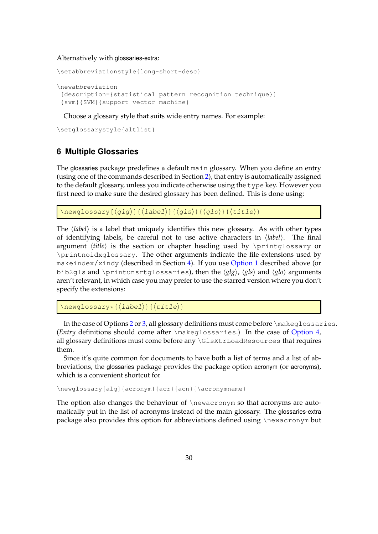Alternatively with glossaries-extra:

```
\setabbreviationstyle{long-short-desc}
\newabbreviation
 [description={statistical pattern recognition technique}]
 {svm}{SVM}{support vector machine}
```
Choose a glossary style that suits wide entry names. For example:

\setglossarystyle{altlist}

## <span id="page-29-0"></span>**6 Multiple Glossaries**

The glossaries package predefines a default main glossary. When you define an entry (using one of the commands described in Section [2\)](#page-8-0), that entry is automatically assigned to the default glossary, unless you indicate otherwise using the type key. However you first need to make sure the desired glossary has been defined. This is done using:

 $\langle$ newglossary[ $\langle$ glg $\rangle$ ]{ $\langle$ label $\rangle$ }{ $\langle$ gls $\rangle$ }{ $\langle$ glo $\rangle$ }{ $\langle$ title $\rangle$ }

The ⟨*label*⟩ is a label that uniquely identifies this new glossary. As with other types of identifying labels, be careful not to use active characters in ⟨*label*⟩. The final argument *(title)* is the section or chapter heading used by \printglossary or \printnoidxglossary. The other arguments indicate the file extensions used by makeindex/xindy (described in Section [4\)](#page-16-0). If you use [Option 1](#page-16-1) described above (or bib2gls and \printunsrtglossaries), then the ⟨*glg*⟩, ⟨*gls*⟩ and ⟨*glo*⟩ arguments aren't relevant, in which case you may prefer to use the starred version where you don't specify the extensions:

\newglossary\*{⟨label⟩}{⟨title⟩}

In the case of Options [2](#page-17-0) or [3,](#page-20-0) all glossary definitions must come before \makeglossaries. (*Entry* definitions should come after \makeglossaries.) In the case of [Option 4,](#page-21-0) all glossary definitions must come before any \GlsXtrLoadResources that requires them.

Since it's quite common for documents to have both a list of terms and a list of abbreviations, the glossaries package provides the package option acronym (or acronyms), which is a convenient shortcut for

\newglossary[alg]{acronym}{acr}{acn}{\acronymname}

The option also changes the behaviour of \newacronym so that acronyms are automatically put in the list of acronyms instead of the main glossary. The glossaries-extra package also provides this option for abbreviations defined using \newacronym but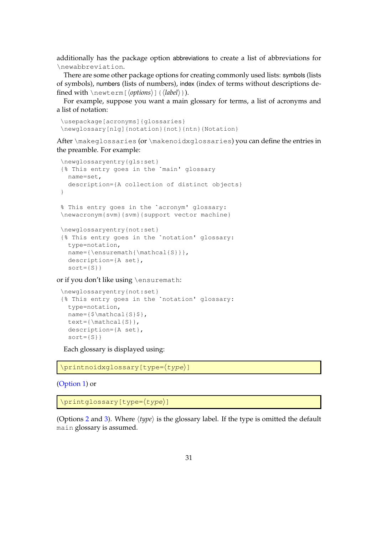additionally has the package option abbreviations to create a list of abbreviations for \newabbreviation.

There are some other package options for creating commonly used lists: symbols (lists of symbols), numbers (lists of numbers), index (index of terms without descriptions defined with \newterm[⟨*options*⟩]{⟨*label*⟩}).

For example, suppose you want a main glossary for terms, a list of acronyms and a list of notation:

```
\usepackage[acronyms]{glossaries}
\newglossary[nlg]{notation}{not}{ntn}{Notation}
```
After \makeglossaries (or \makenoidxglossaries) you can define the entries in the preamble. For example:

```
\newglossaryentry{gls:set}
{% This entry goes in the `main' glossary
 name=set,
 description={A collection of distinct objects}
}
% This entry goes in the `acronym' glossary:
\newacronym{svm}{svm}{support vector machine}
\newglossaryentry{not:set}
{% This entry goes in the `notation' glossary:
 type=notation,
 name={\ensuremath{\mathcal{S}}},
 description={A set},
 sort={S}
```
or if you don't like using \ensuremath:

```
\newglossaryentry{not:set}
{% This entry goes in the `notation' glossary:
 type=notation,
 name={\frac{\mathcal{S}}}{\mathcal{S}}text={\mathcal{S}},
 description={A set},
  sort={S}
```
Each glossary is displayed using:

```
\printnoidxglossary[type=⟨type⟩]
```
[\(Option 1\)](#page-16-1) or

\printglossary[type=⟨type⟩]

(Options [2](#page-17-0) and [3\)](#page-20-0). Where ⟨*type*⟩ is the glossary label. If the type is omitted the default main glossary is assumed.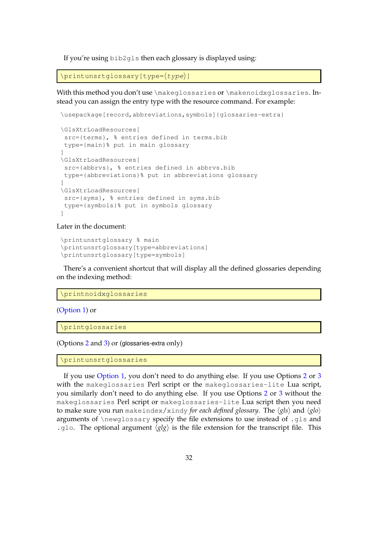If you're using bib2gls then each glossary is displayed using:

```
\printunsrtglossary[type=⟨type⟩]
```
With this method you don't use \makeglossaries or \makenoidxglossaries. Instead you can assign the entry type with the resource command. For example:

```
\usepackage[record,abbreviations,symbols]{glossaries-extra}
```

```
\GlsXtrLoadResources[
src={terms}, % entries defined in terms.bib
type={main}% put in main glossary
]
\GlsXtrLoadResources[
src={abbrvs}, % entries defined in abbrvs.bib
type={abbreviations}% put in abbreviations glossary
]
\GlsXtrLoadResources[
src={syms}, % entries defined in syms.bib
type={symbols}% put in symbols glossary
]
```
Later in the document:

```
\printunsrtglossary % main
\printunsrtglossary[type=abbreviations]
\printunsrtglossary[type=symbols]
```
There's a convenient shortcut that will display all the defined glossaries depending on the indexing method:

\printnoidxglossaries

[\(Option 1\)](#page-16-1) or

```
\printglossaries
```
(Options [2](#page-17-0) and [3\)](#page-20-0) or (glossaries-extra only)

\printunsrtglossaries

If you use [Option 1,](#page-16-1) you don't need to do anything else. If you use Options [2](#page-17-0) or [3](#page-20-0) with the makeglossaries Perl script or the makeglossaries-lite Lua script, you similarly don't need to do anything else. If you use Options [2](#page-17-0) or [3](#page-20-0) without the makeglossaries Perl script or makeglossaries-lite Lua script then you need to make sure you run makeindex/xindy *for each defined glossary*. The ⟨*gls*⟩ and ⟨*glo*⟩ arguments of \newglossary specify the file extensions to use instead of .gls and .glo. The optional argument  $\langle g \vert g \rangle$  is the file extension for the transcript file. This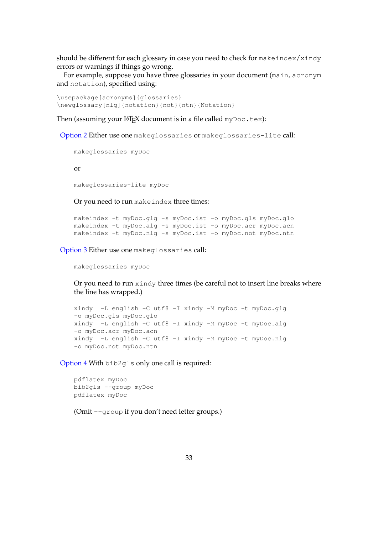should be different for each glossary in case you need to check for  $\mathsf{makeindex}/\mathsf{x}\text{indy}$ errors or warnings if things go wrong.

For example, suppose you have three glossaries in your document (main, acronym and notation), specified using:

\usepackage[acronyms]{glossaries} \newglossary[nlg]{notation}{not}{ntn}{Notation}

Then (assuming your  $\Delta E$ <sub>F</sub>X document is in a file called myDoc.tex):

[Option 2](#page-17-0) Either use one makeglossaries or makeglossaries-lite call:

```
makeglossaries myDoc
```
or

makeglossaries-lite myDoc

Or you need to run makeindex three times:

makeindex -t myDoc.glg -s myDoc.ist -o myDoc.gls myDoc.glo makeindex -t myDoc.alg -s myDoc.ist -o myDoc.acr myDoc.acn makeindex -t myDoc.nlg -s myDoc.ist -o myDoc.not myDoc.ntn

[Option 3](#page-20-0) Either use one makeglossaries call:

makeglossaries myDoc

Or you need to run xindy three times (be careful not to insert line breaks where the line has wrapped.)

```
xindy -L english -C utf8 -I xindy -M myDoc -t myDoc.glg
-o myDoc.gls myDoc.glo
xindy -L english -C utf8 -I xindy -M myDoc -t myDoc.alg
-o myDoc.acr myDoc.acn
xindy -L english -C utf8 -I xindy -M myDoc -t myDoc.nlg
-o myDoc.not myDoc.ntn
```
[Option 4](#page-21-0) With bib2gls only one call is required:

```
pdflatex myDoc
bib2gls --group myDoc
pdflatex myDoc
```
(Omit --group if you don't need letter groups.)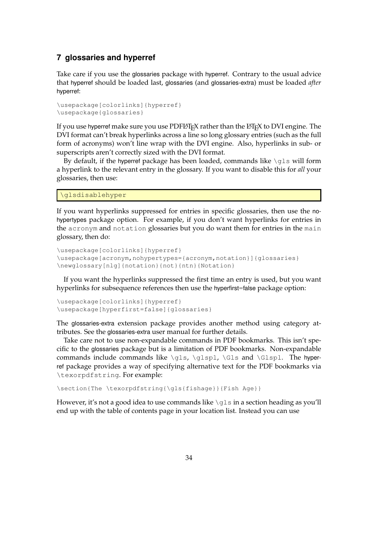## <span id="page-33-0"></span>**7 glossaries and hyperref**

Take care if you use the glossaries package with hyperref. Contrary to the usual advice that hyperref should be loaded last, glossaries (and glossaries-extra) must be loaded *after* hyperref:

```
\usepackage[colorlinks]{hyperref}
\usepackage{glossaries}
```
If you use hyperref make sure you use  $PDF\&TFX$  rather than the  $ETFX$  to DVI engine. The DVI format can't break hyperlinks across a line so long glossary entries (such as the full form of acronyms) won't line wrap with the DVI engine. Also, hyperlinks in sub- or superscripts aren't correctly sized with the DVI format.

By default, if the hyperref package has been loaded, commands like  $\qquad$ dls will form a hyperlink to the relevant entry in the glossary. If you want to disable this for *all* your glossaries, then use:

\glsdisablehyper

If you want hyperlinks suppressed for entries in specific glossaries, then use the nohypertypes package option. For example, if you don't want hyperlinks for entries in the acronym and notation glossaries but you do want them for entries in the main glossary, then do:

```
\usepackage[colorlinks]{hyperref}
\usepackage[acronym,nohypertypes={acronym,notation}]{glossaries}
\newglossary[nlg]{notation}{not}{ntn}{Notation}
```
If you want the hyperlinks suppressed the first time an entry is used, but you want hyperlinks for subsequence references then use the hyperfirst=false package option:

```
\usepackage[colorlinks]{hyperref}
\usepackage[hyperfirst=false]{glossaries}
```
The glossaries-extra extension package provides another method using category attributes. See the glossaries-extra user manual for further details.

Take care not to use non-expandable commands in PDF bookmarks. This isn't specific to the glossaries package but is a limitation of PDF bookmarks. Non-expandable commands include commands like  $\qquadgls$ ,  $glspl$ ,  $Gls$  and  $\Glspl$ . The hyperref package provides a way of specifying alternative text for the PDF bookmarks via \texorpdfstring. For example:

\section{The \texorpdfstring{\gls{fishage}}{Fish Age}}

However, it's not a good idea to use commands like  $\qquad \qquad$  in a section heading as you'll end up with the table of contents page in your location list. Instead you can use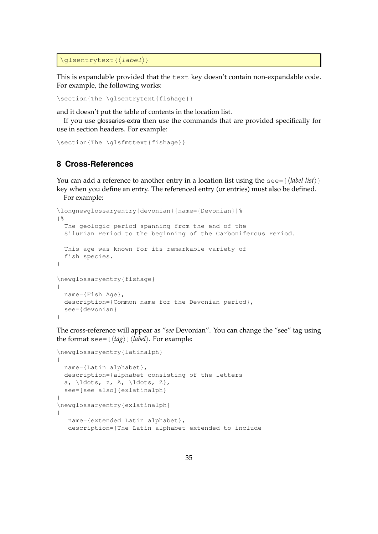\glsentrytext{⟨label⟩}

This is expandable provided that the text key doesn't contain non-expandable code. For example, the following works:

\section{The \glsentrytext{fishage}}

and it doesn't put the table of contents in the location list.

If you use glossaries-extra then use the commands that are provided specifically for use in section headers. For example:

```
\section{The \glsfmttext{fishage}}
```
## <span id="page-34-0"></span>**8 Cross-References**

You can add a reference to another entry in a location list using the see={ $\langle$ *label list*}} key when you define an entry. The referenced entry (or entries) must also be defined. For example:

```
\longnewglossaryentry{devonian}{name={Devonian}}%
{%
 The geologic period spanning from the end of the
 Silurian Period to the beginning of the Carboniferous Period.
 This age was known for its remarkable variety of
  fish species.
}
\newglossaryentry{fishage}
{
 name={Fish Age},
 description={Common name for the Devonian period},
 see={devonian}
}
```
The cross-reference will appear as "*see* Devonian". You can change the "see" tag using the format see=[⟨*tag*⟩]⟨*label*⟩. For example:

```
\newglossaryentry{latinalph}
{
 name={Latin alphabet},
 description={alphabet consisting of the letters
 a, ldots, z, A, \ldots, z,see=[see also]{exlatinalph}
}
\newglossaryentry{exlatinalph}
{
  name={extended Latin alphabet},
  description={The Latin alphabet extended to include
```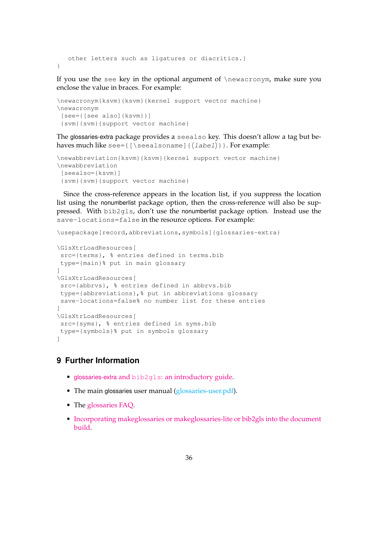```
other letters such as ligatures or diacritics.}
}
```
If you use the see key in the optional argument of \newacronym, make sure you enclose the value in braces. For example:

```
\newacronym{ksvm}{ksvm}{kernel support vector machine}
\newacronym
[see={[see also]{ksvm}}]
 {svm}{svm}{support vector machine}
```
The glossaries-extra package provides a seealso key. This doesn't allow a tag but behaves much like see= $\{[\text{sealsoname}]\{\langle label\rangle\}\}$ . For example:

```
\newabbreviation{ksvm}{ksvm}{kernel support vector machine}
\newabbreviation
[seealso={ksvm}]
 {svm}{svm}{support vector machine}
```
Since the cross-reference appears in the location list, if you suppress the location list using the nonumberlist package option, then the cross-reference will also be suppressed. With bib2gls, don't use the nonumberlist package option. Instead use the save-locations=false in the resource options. For example:

```
\usepackage[record,abbreviations,symbols]{glossaries-extra}
```

```
\GlsXtrLoadResources[
src={terms}, % entries defined in terms.bib
type={main}% put in main glossary
]
\GlsXtrLoadResources[
src={abbrvs}, % entries defined in abbrvs.bib
type={abbreviations},% put in abbreviations glossary
save-locations=false% no number list for these entries
]
\GlsXtrLoadResources[
 src={syms}, % entries defined in syms.bib
type={symbols}% put in symbols glossary
]
```
## <span id="page-35-0"></span>**9 Further Information**

- glossaries-extra and bib2gls[: an introductory guide.](http://mirrors.ctan.org/support/bib2gls/bib2gls-begin.pdf)
- The main glossaries user manual [\(glossaries-user.pdf\)](#page-0-0).
- The [glossaries FAQ.](http://www.dickimaw-books.com/faqs/glossariesfaq.html)
- [Incorporating makeglossaries or makeglossaries-lite or bib2gls into the document](https://www.dickimaw-books.com/latex/buildglossaries/) [build.](https://www.dickimaw-books.com/latex/buildglossaries/)